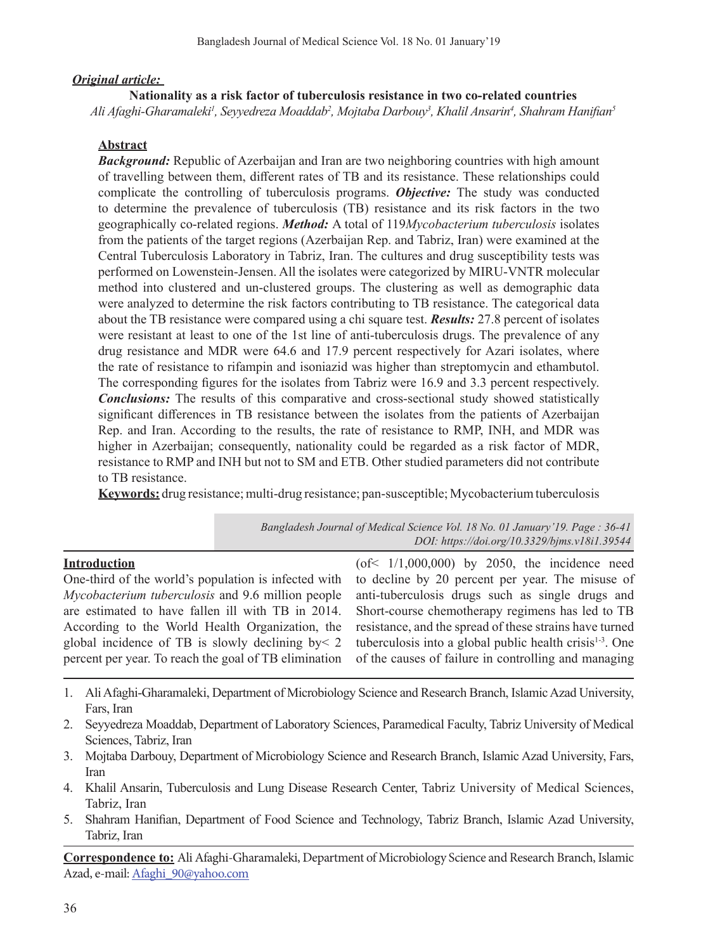## *Original article:*

### **Nationality as a risk factor of tuberculosis resistance in two co-related countries**

*Ali Afaghi-Gharamaleki1 , Seyyedreza Moaddab2 , Mojtaba Darbouy3 , Khalil Ansarin4 , Shahram Hanifian<sup>5</sup>*

## **Abstract**

*Background:* Republic of Azerbaijan and Iran are two neighboring countries with high amount of travelling between them, different rates of TB and its resistance. These relationships could complicate the controlling of tuberculosis programs. *Objective:* The study was conducted to determine the prevalence of tuberculosis (TB) resistance and its risk factors in the two geographically co-related regions. *Method:* A total of 119*Mycobacterium tuberculosis* isolates from the patients of the target regions (Azerbaijan Rep. and Tabriz, Iran) were examined at the Central Tuberculosis Laboratory in Tabriz, Iran. The cultures and drug susceptibility tests was performed on Lowenstein-Jensen. All the isolates were categorized by MIRU-VNTR molecular method into clustered and un-clustered groups. The clustering as well as demographic data were analyzed to determine the risk factors contributing to TB resistance. The categorical data about the TB resistance were compared using a chi square test. *Results:* 27.8 percent of isolates were resistant at least to one of the 1st line of anti-tuberculosis drugs. The prevalence of any drug resistance and MDR were 64.6 and 17.9 percent respectively for Azari isolates, where the rate of resistance to rifampin and isoniazid was higher than streptomycin and ethambutol. The corresponding figures for the isolates from Tabriz were 16.9 and 3.3 percent respectively. *Conclusions:* The results of this comparative and cross-sectional study showed statistically significant differences in TB resistance between the isolates from the patients of Azerbaijan Rep. and Iran. According to the results, the rate of resistance to RMP, INH, and MDR was higher in Azerbaijan; consequently, nationality could be regarded as a risk factor of MDR, resistance to RMP and INH but not to SM and ETB. Other studied parameters did not contribute to TB resistance.

Keywords: drug resistance; multi-drug resistance; pan-susceptible; Mycobacterium tuberculosis

*Bangladesh Journal of Medical Science Vol. 18 No. 01 January'19. Page : 36-41 DOI: https://doi.org/10.3329/bjms.v18i1.39544*

## **Introduction**

One-third of the world's population is infected with *Mycobacterium tuberculosis* and 9.6 million people are estimated to have fallen ill with TB in 2014. According to the World Health Organization, the global incidence of TB is slowly declining by< 2 percent per year. To reach the goal of TB elimination

 $($ of <  $1/1,000,000$  by 2050, the incidence need to decline by 20 percent per year. The misuse of anti-tuberculosis drugs such as single drugs and Short-course chemotherapy regimens has led to TB resistance, and the spread of these strains have turned tuberculosis into a global public health crisis $1-3$ . One of the causes of failure in controlling and managing

- 1. Ali Afaghi-Gharamaleki, Department of Microbiology Science and Research Branch, Islamic Azad University, Fars, Iran
- 2. Seyyedreza Moaddab, Department of Laboratory Sciences, Paramedical Faculty, Tabriz University of Medical Sciences, Tabriz, Iran
- 3. Mojtaba Darbouy, Department of Microbiology Science and Research Branch, Islamic Azad University, Fars, Iran
- 4. Khalil Ansarin, Tuberculosis and Lung Disease Research Center, Tabriz University of Medical Sciences, Tabriz, Iran
- 5. Shahram Hanifian, Department of Food Science and Technology, Tabriz Branch, Islamic Azad University, Tabriz, Iran

**Correspondence to:** Ali Afaghi-Gharamaleki, Department of Microbiology Science and Research Branch, Islamic Azad, e-mail: Afaghi\_90@yahoo.com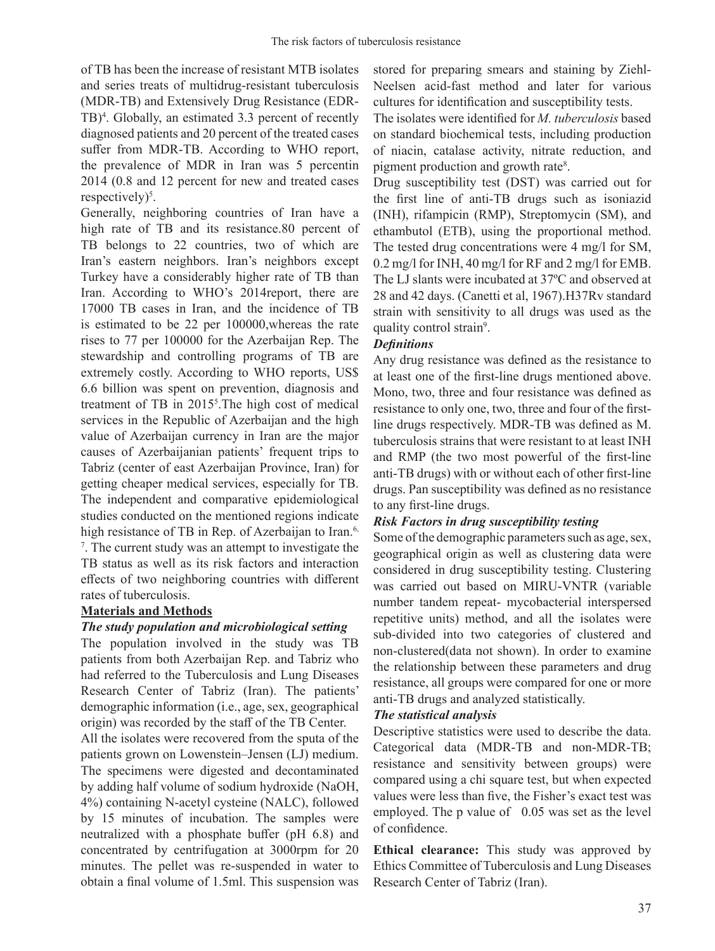of TB has been the increase of resistant MTB isolates and series treats of multidrug-resistant tuberculosis (MDR-TB) and Extensively Drug Resistance (EDR-TB)<sup>4</sup>. Globally, an estimated 3.3 percent of recently diagnosed patients and 20 percent of the treated cases suffer from MDR-TB. According to WHO report, the prevalence of MDR in Iran was 5 percentin 2014 (0.8 and 12 percent for new and treated cases respectively)<sup>5</sup>.

Generally, neighboring countries of Iran have a high rate of TB and its resistance.80 percent of TB belongs to 22 countries, two of which are Iran's eastern neighbors. Iran's neighbors except Turkey have a considerably higher rate of TB than Iran. According to WHO's 2014report, there are 17000 TB cases in Iran, and the incidence of TB is estimated to be 22 per 100000,whereas the rate rises to 77 per 100000 for the Azerbaijan Rep. The stewardship and controlling programs of TB are extremely costly. According to WHO reports, US\$ 6.6 billion was spent on prevention, diagnosis and treatment of TB in 2015<sup>5</sup>. The high cost of medical services in the Republic of Azerbaijan and the high value of Azerbaijan currency in Iran are the major causes of Azerbaijanian patients' frequent trips to Tabriz (center of east Azerbaijan Province, Iran) for getting cheaper medical services, especially for TB. The independent and comparative epidemiological studies conducted on the mentioned regions indicate high resistance of TB in Rep. of Azerbaijan to Iran.<sup>6,</sup> 7 . The current study was an attempt to investigate the TB status as well as its risk factors and interaction effects of two neighboring countries with different rates of tuberculosis.

#### **Materials and Methods**

#### *The study population and microbiological setting*

The population involved in the study was TB patients from both Azerbaijan Rep. and Tabriz who had referred to the Tuberculosis and Lung Diseases Research Center of Tabriz (Iran). The patients' demographic information (i.e., age, sex, geographical origin) was recorded by the staff of the TB Center.

All the isolates were recovered from the sputa of the patients grown on Lowenstein–Jensen (LJ) medium. The specimens were digested and decontaminated by adding half volume of sodium hydroxide (NaOH, 4%) containing N-acetyl cysteine (NALC), followed by 15 minutes of incubation. The samples were neutralized with a phosphate buffer (pH 6.8) and concentrated by centrifugation at 3000rpm for 20 minutes. The pellet was re-suspended in water to obtain a final volume of 1.5ml. This suspension was

stored for preparing smears and staining by Ziehl-Neelsen acid-fast method and later for various cultures for identification and susceptibility tests.

The isolates were identified for *M. tuberculosis* based on standard biochemical tests, including production of niacin, catalase activity, nitrate reduction, and pigment production and growth rate<sup>8</sup>.

Drug susceptibility test (DST) was carried out for the first line of anti-TB drugs such as isoniazid (INH), rifampicin (RMP), Streptomycin (SM), and ethambutol (ETB), using the proportional method. The tested drug concentrations were 4 mg/l for SM, 0.2 mg/l for INH, 40 mg/l for RF and 2 mg/l for EMB. The LJ slants were incubated at 37ºC and observed at 28 and 42 days. (Canetti et al, 1967).H37Rv standard strain with sensitivity to all drugs was used as the quality control strain<sup>9</sup>.

## *Definitions*

Any drug resistance was defined as the resistance to at least one of the first-line drugs mentioned above. Mono, two, three and four resistance was defined as resistance to only one, two, three and four of the firstline drugs respectively. MDR-TB was defined as M. tuberculosis strains that were resistant to at least INH and RMP (the two most powerful of the first-line anti-TB drugs) with or without each of other first-line drugs. Pan susceptibility was defined as no resistance to any first-line drugs.

# *Risk Factors in drug susceptibility testing*

Some of the demographic parameters such as age, sex, geographical origin as well as clustering data were considered in drug susceptibility testing. Clustering was carried out based on MIRU-VNTR (variable number tandem repeat- mycobacterial interspersed repetitive units) method, and all the isolates were sub-divided into two categories of clustered and non-clustered(data not shown). In order to examine the relationship between these parameters and drug resistance, all groups were compared for one or more anti-TB drugs and analyzed statistically.

## *The statistical analysis*

Descriptive statistics were used to describe the data. Categorical data (MDR-TB and non-MDR-TB; resistance and sensitivity between groups) were compared using a chi square test, but when expected values were less than five, the Fisher's exact test was employed. The p value of 0.05 was set as the level of confidence.

**Ethical clearance:** This study was approved by Ethics Committee of Tuberculosis and Lung Diseases Research Center of Tabriz (Iran).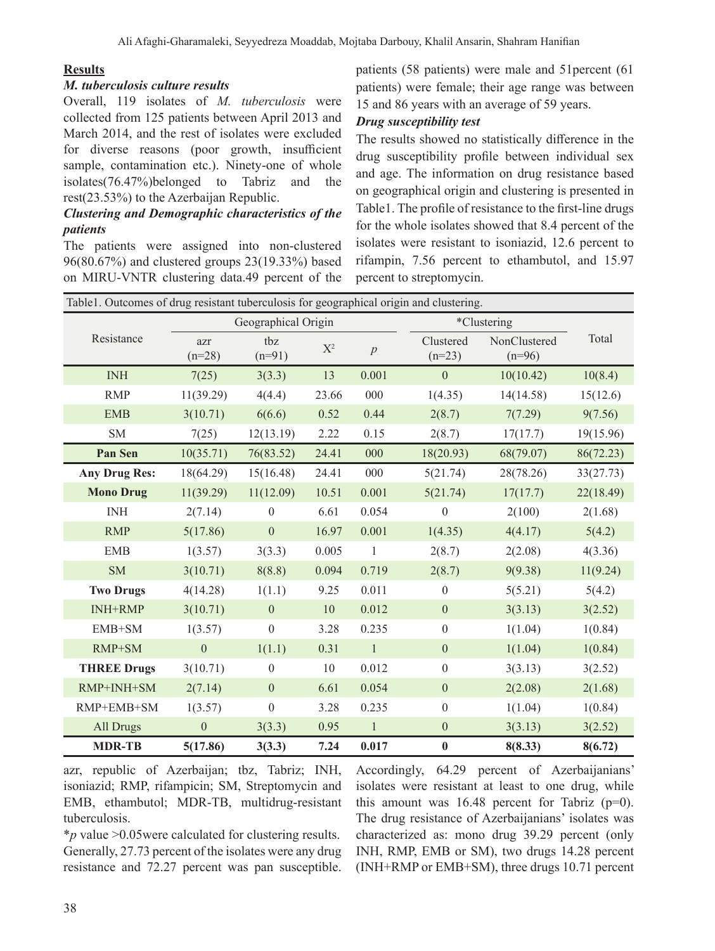## **Results**

### *M. tuberculosis culture results*

Overall, 119 isolates of *M. tuberculosis* were collected from 125 patients between April 2013 and March 2014, and the rest of isolates were excluded for diverse reasons (poor growth, insufficient sample, contamination etc.). Ninety-one of whole isolates(76.47%)belonged to Tabriz and the rest(23.53%) to the Azerbaijan Republic.

# *Clustering and Demographic characteristics of the patients*

The patients were assigned into non-clustered 96(80.67%) and clustered groups 23(19.33%) based on MIRU-VNTR clustering data.49 percent of the

patients (58 patients) were male and 51percent (61 patients) were female; their age range was between 15 and 86 years with an average of 59 years.

# *Drug susceptibility test*

The results showed no statistically difference in the drug susceptibility profile between individual sex and age. The information on drug resistance based on geographical origin and clustering is presented in Table1. The profile of resistance to the first-line drugs for the whole isolates showed that 8.4 percent of the isolates were resistant to isoniazid, 12.6 percent to rifampin, 7.56 percent to ethambutol, and 15.97 percent to streptomycin.

| Table1. Outcomes of drug resistant tuberculosis for geographical origin and clustering. |                     |                  |       |                |                       |                          |           |
|-----------------------------------------------------------------------------------------|---------------------|------------------|-------|----------------|-----------------------|--------------------------|-----------|
| Resistance                                                                              | Geographical Origin |                  |       |                |                       | *Clustering              |           |
|                                                                                         | azr<br>$(n=28)$     | tbz<br>$(n=91)$  | $X^2$ | $\overline{p}$ | Clustered<br>$(n=23)$ | NonClustered<br>$(n=96)$ | Total     |
| <b>INH</b>                                                                              | 7(25)               | 3(3.3)           | 13    | 0.001          | $\mathbf{0}$          | 10(10.42)                | 10(8.4)   |
| <b>RMP</b>                                                                              | 11(39.29)           | 4(4.4)           | 23.66 | 000            | 1(4.35)               | 14(14.58)                | 15(12.6)  |
| <b>EMB</b>                                                                              | 3(10.71)            | 6(6.6)           | 0.52  | 0.44           | 2(8.7)                | 7(7.29)                  | 9(7.56)   |
| SM                                                                                      | 7(25)               | 12(13.19)        | 2.22  | 0.15           | 2(8.7)                | 17(17.7)                 | 19(15.96) |
| Pan Sen                                                                                 | 10(35.71)           | 76(83.52)        | 24.41 | 000            | 18(20.93)             | 68(79.07)                | 86(72.23) |
| <b>Any Drug Res:</b>                                                                    | 18(64.29)           | 15(16.48)        | 24.41 | 000            | 5(21.74)              | 28(78.26)                | 33(27.73) |
| <b>Mono Drug</b>                                                                        | 11(39.29)           | 11(12.09)        | 10.51 | 0.001          | 5(21.74)              | 17(17.7)                 | 22(18.49) |
| <b>INH</b>                                                                              | 2(7.14)             | $\theta$         | 6.61  | 0.054          | $\Omega$              | 2(100)                   | 2(1.68)   |
| <b>RMP</b>                                                                              | 5(17.86)            | $\boldsymbol{0}$ | 16.97 | 0.001          | 1(4.35)               | 4(4.17)                  | 5(4.2)    |
| <b>EMB</b>                                                                              | 1(3.57)             | 3(3.3)           | 0.005 | $\mathbf{1}$   | 2(8.7)                | 2(2.08)                  | 4(3.36)   |
| <b>SM</b>                                                                               | 3(10.71)            | 8(8.8)           | 0.094 | 0.719          | 2(8.7)                | 9(9.38)                  | 11(9.24)  |
| <b>Two Drugs</b>                                                                        | 4(14.28)            | 1(1.1)           | 9.25  | 0.011          | $\boldsymbol{0}$      | 5(5.21)                  | 5(4.2)    |
| <b>INH+RMP</b>                                                                          | 3(10.71)            | $\boldsymbol{0}$ | 10    | 0.012          | $\boldsymbol{0}$      | 3(3.13)                  | 3(2.52)   |
| EMB+SM                                                                                  | 1(3.57)             | $\boldsymbol{0}$ | 3.28  | 0.235          | $\boldsymbol{0}$      | 1(1.04)                  | 1(0.84)   |
| RMP+SM                                                                                  | $\mathbf{0}$        | 1(1.1)           | 0.31  | $\mathbf{1}$   | $\theta$              | 1(1.04)                  | 1(0.84)   |
| <b>THREE Drugs</b>                                                                      | 3(10.71)            | $\overline{0}$   | 10    | 0.012          | $\boldsymbol{0}$      | 3(3.13)                  | 3(2.52)   |
| RMP+INH+SM                                                                              | 2(7.14)             | $\overline{0}$   | 6.61  | 0.054          | $\boldsymbol{0}$      | 2(2.08)                  | 2(1.68)   |
| RMP+EMB+SM                                                                              | 1(3.57)             | $\boldsymbol{0}$ | 3.28  | 0.235          | $\boldsymbol{0}$      | 1(1.04)                  | 1(0.84)   |
| All Drugs                                                                               | $\boldsymbol{0}$    | 3(3.3)           | 0.95  | $\mathbf{1}$   | $\boldsymbol{0}$      | 3(3.13)                  | 3(2.52)   |
| <b>MDR-TB</b>                                                                           | 5(17.86)            | 3(3.3)           | 7.24  | 0.017          | $\pmb{0}$             | 8(8.33)                  | 8(6.72)   |

azr, republic of Azerbaijan; tbz, Tabriz; INH, isoniazid; RMP, rifampicin; SM, Streptomycin and EMB, ethambutol; MDR-TB, multidrug-resistant tuberculosis.

isolates were resistant at least to one drug, while this amount was  $16.48$  percent for Tabriz (p=0). The drug resistance of Azerbaijanians' isolates was characterized as: mono drug 39.29 percent (only INH, RMP, EMB or SM), two drugs 14.28 percent (INH+RMP or EMB+SM), three drugs 10.71 percent

Accordingly, 64.29 percent of Azerbaijanians'

\**p* value ˃0.05were calculated for clustering results. Generally, 27.73 percent of the isolates were any drug resistance and 72.27 percent was pan susceptible.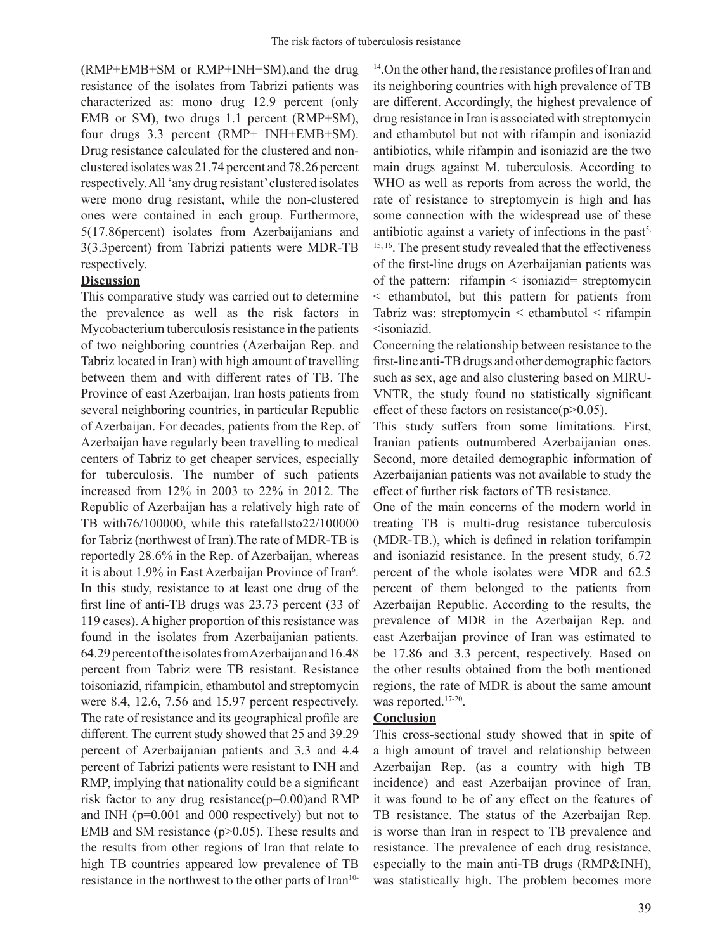(RMP+EMB+SM or RMP+INH+SM),and the drug resistance of the isolates from Tabrizi patients was characterized as: mono drug 12.9 percent (only EMB or SM), two drugs 1.1 percent (RMP+SM), four drugs 3.3 percent (RMP+ INH+EMB+SM). Drug resistance calculated for the clustered and nonclustered isolates was 21.74 percent and 78.26 percent respectively.All 'any drug resistant'clustered isolates were mono drug resistant, while the non-clustered ones were contained in each group. Furthermore, 5(17.86percent) isolates from Azerbaijanians and 3(3.3percent) from Tabrizi patients were MDR-TB respectively.

### **Discussion**

This comparative study was carried out to determine the prevalence as well as the risk factors in Mycobacterium tuberculosis resistance in the patients of two neighboring countries (Azerbaijan Rep. and Tabriz located in Iran) with high amount of travelling between them and with different rates of TB. The Province of east Azerbaijan, Iran hosts patients from several neighboring countries, in particular Republic of Azerbaijan. For decades, patients from the Rep. of Azerbaijan have regularly been travelling to medical centers of Tabriz to get cheaper services, especially for tuberculosis. The number of such patients increased from 12% in 2003 to 22% in 2012. The Republic of Azerbaijan has a relatively high rate of TB with76/100000, while this ratefallsto22/100000 for Tabriz (northwest of Iran).The rate of MDR-TB is reportedly 28.6% in the Rep. of Azerbaijan, whereas it is about 1.9% in East Azerbaijan Province of Iran<sup>6</sup>. In this study, resistance to at least one drug of the first line of anti-TB drugs was 23.73 percent (33 of 119 cases). A higher proportion of this resistance was found in the isolates from Azerbaijanian patients. 64.29 percent of the isolates from Azerbaijan and 16.48 percent from Tabriz were TB resistant. Resistance toisoniazid, rifampicin, ethambutol and streptomycin were 8.4, 12.6, 7.56 and 15.97 percent respectively. The rate of resistance and its geographical profile are different. The current study showed that 25 and 39.29 percent of Azerbaijanian patients and 3.3 and 4.4 percent of Tabrizi patients were resistant to INH and RMP, implying that nationality could be a significant risk factor to any drug resistance(p=0.00)and RMP and INH (p=0.001 and 000 respectively) but not to EMB and SM resistance  $(p>0.05)$ . These results and the results from other regions of Iran that relate to high TB countries appeared low prevalence of TB resistance in the northwest to the other parts of Iran10-

 $14$ . On the other hand, the resistance profiles of Iran and its neighboring countries with high prevalence of TB are different. Accordingly, the highest prevalence of drug resistance in Iran is associated with streptomycin and ethambutol but not with rifampin and isoniazid antibiotics, while rifampin and isoniazid are the two main drugs against M. tuberculosis. According to WHO as well as reports from across the world, the rate of resistance to streptomycin is high and has some connection with the widespread use of these antibiotic against a variety of infections in the past<sup>5,</sup> 15, 16. The present study revealed that the effectiveness of the first-line drugs on Azerbaijanian patients was of the pattern: rifampin < isoniazid= streptomycin < ethambutol, but this pattern for patients from Tabriz was: streptomycin  $\leq$  ethambutol  $\leq$  rifampin <isoniazid.

Concerning the relationship between resistance to the first-line anti-TBdrugs and other demographic factors such as sex, age and also clustering based on MIRU-VNTR, the study found no statistically significant effect of these factors on resistance( $p$  $>$ 0.05).

This study suffers from some limitations. First, Iranian patients outnumbered Azerbaijanian ones. Second, more detailed demographic information of Azerbaijanian patients was not available to study the effect of further risk factors of TB resistance.

One of the main concerns of the modern world in treating TB is multi-drug resistance tuberculosis (MDR-TB.), which is defined in relation torifampin and isoniazid resistance. In the present study, 6.72 percent of the whole isolates were MDR and 62.5 percent of them belonged to the patients from Azerbaijan Republic. According to the results, the prevalence of MDR in the Azerbaijan Rep. and east Azerbaijan province of Iran was estimated to be 17.86 and 3.3 percent, respectively. Based on the other results obtained from the both mentioned regions, the rate of MDR is about the same amount was reported.<sup>17-20</sup>.

#### **Conclusion**

This cross-sectional study showed that in spite of a high amount of travel and relationship between Azerbaijan Rep. (as a country with high TB incidence) and east Azerbaijan province of Iran, it was found to be of any effect on the features of TB resistance. The status of the Azerbaijan Rep. is worse than Iran in respect to TB prevalence and resistance. The prevalence of each drug resistance, especially to the main anti-TB drugs (RMP&INH), was statistically high. The problem becomes more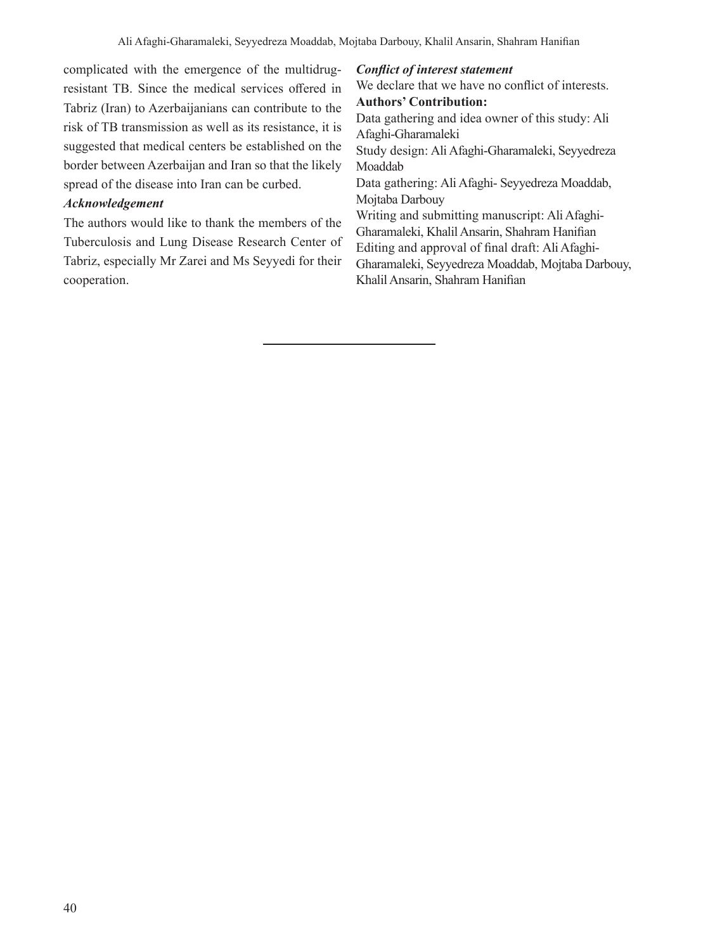complicated with the emergence of the multidrugresistant TB. Since the medical services offered in Tabriz (Iran) to Azerbaijanians can contribute to the risk of TB transmission as well as its resistance, it is suggested that medical centers be established on the border between Azerbaijan and Iran so that the likely spread of the disease into Iran can be curbed.

## *Acknowledgement*

The authors would like to thank the members of the Tuberculosis and Lung Disease Research Center of Tabriz, especially Mr Zarei and Ms Seyyedi for their cooperation.

## *Conflict of interest statement*

We declare that we have no conflict of interests. **Authors' Contribution:** Data gathering and idea owner of this study: Ali Afaghi-Gharamaleki Study design: Ali Afaghi-Gharamaleki, Seyyedreza Moaddab Data gathering: Ali Afaghi- Seyyedreza Moaddab, Mojtaba Darbouy Writing and submitting manuscript: Ali Afaghi-Gharamaleki, KhalilAnsarin, Shahram Hanifian Editing and approval of final draft: Ali Afaghi-Gharamaleki, Seyyedreza Moaddab, Mojtaba Darbouy, KhalilAnsarin, Shahram Hanifian